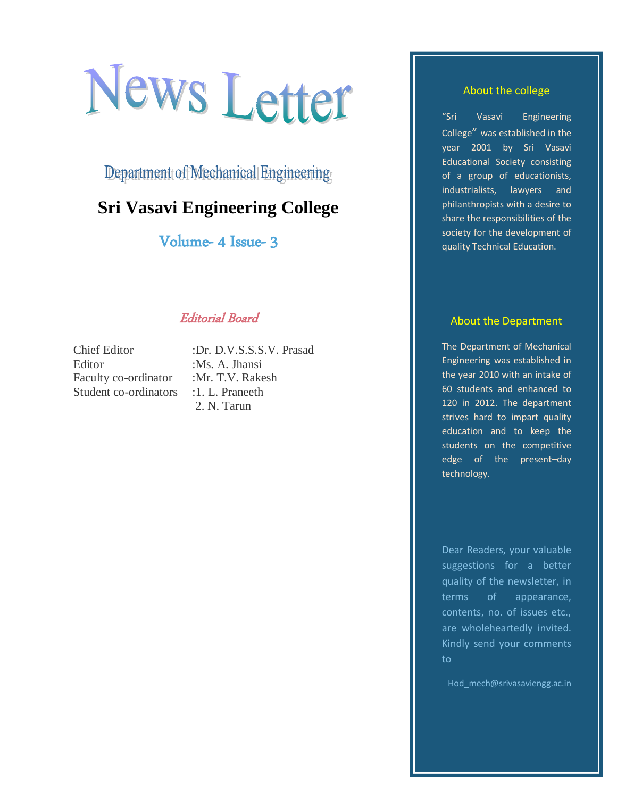# News Letter

Department of Mechanical Engineering

## **Sri Vasavi Engineering College**

Volume- 4 Issue- 3

### Editorial Board

Chief Editor :Dr. D.V.S.S.S.V. Prasad Editor :Ms. A. Jhansi Faculty co-ordinator :Mr. T.V. Rakesh Student co-ordinators : 1. L. Praneeth

2. N. Tarun

#### About the college

"Sri Vasavi Engineering College" was established in the year 2001 by Sri Vasavi Educational Society consisting of a group of educationists, industrialists, lawyers and philanthropists with a desire to share the responsibilities of the society for the development of quality Technical Education.

#### About the Department

The Department of Mechanical Engineering was established in the year 2010 with an intake of 60 students and enhanced to 120 in 2012. The department strives hard to impart quality education and to keep the students on the competitive edge of the present–day technology.

Dear Readers, your valuable suggestions for a better quality of the newsletter, in terms of appearance, contents, no. of issues etc., are wholeheartedly invited. Kindly send your comments to

Hod mech@srivasaviengg.ac.in